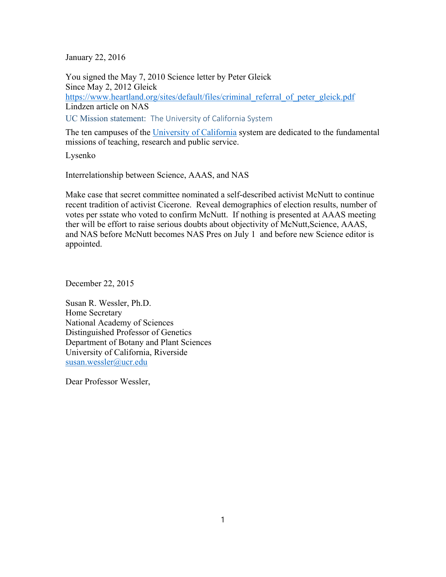January 22, 2016

You signed the May 7, 2010 Science letter by Peter Gleick Since May 2, 2012 Gleick https://www.heartland.org/sites/default/files/criminal\_referral\_of\_peter\_gleick.pdf Lindzen article on NAS

UC Mission statement: The University of California System

The ten campuses of the University of California system are dedicated to the fundamental missions of teaching, research and public service.

Lysenko

Interrelationship between Science, AAAS, and NAS

Make case that secret committee nominated a self-described activist McNutt to continue recent tradition of activist Cicerone. Reveal demographics of election results, number of votes per sstate who voted to confirm McNutt. If nothing is presented at AAAS meeting ther will be effort to raise serious doubts about objectivity of McNutt,Science, AAAS, and NAS before McNutt becomes NAS Pres on July 1 and before new Science editor is appointed.

December 22, 2015

Susan R. Wessler, Ph.D. Home Secretary National Academy of Sciences Distinguished Professor of Genetics Department of Botany and Plant Sciences University of California, Riverside susan.wessler@ucr.edu

Dear Professor Wessler,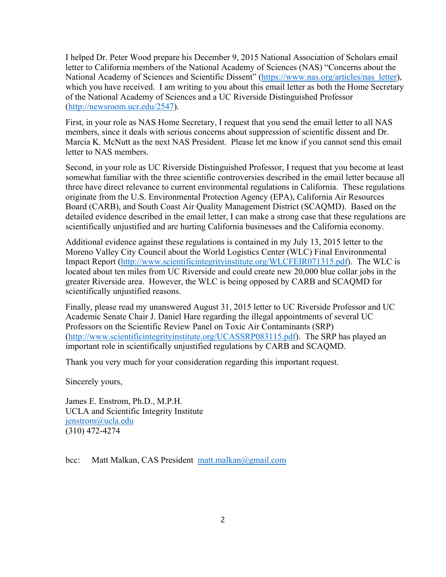I helped Dr. Peter Wood prepare his December 9, 2015 National Association of Scholars email letter to California members of the National Academy of Sciences (NAS) "Concerns about the National Academy of Sciences and Scientific Dissent" (https://www.nas.org/articles/nas\_letter), which you have received. I am writing to you about this email letter as both the Home Secretary of the National Academy of Sciences and a UC Riverside Distinguished Professor (http://newsroom.ucr.edu/2547).

First, in your role as NAS Home Secretary, I request that you send the email letter to all NAS members, since it deals with serious concerns about suppression of scientific dissent and Dr. Marcia K. McNutt as the next NAS President. Please let me know if you cannot send this email letter to NAS members.

Second, in your role as UC Riverside Distinguished Professor, I request that you become at least somewhat familiar with the three scientific controversies described in the email letter because all three have direct relevance to current environmental regulations in California. These regulations originate from the U.S. Environmental Protection Agency (EPA), California Air Resources Board (CARB), and South Coast Air Quality Management District (SCAQMD). Based on the detailed evidence described in the email letter, I can make a strong case that these regulations are scientifically unjustified and are hurting California businesses and the California economy.

Additional evidence against these regulations is contained in my July 13, 2015 letter to the Moreno Valley City Council about the World Logistics Center (WLC) Final Environmental Impact Report (http://www.scientificintegrityinstitute.org/WLCFEIR071315.pdf). The WLC is located about ten miles from UC Riverside and could create new 20,000 blue collar jobs in the greater Riverside area. However, the WLC is being opposed by CARB and SCAQMD for scientifically unjustified reasons.

Finally, please read my unanswered August 31, 2015 letter to UC Riverside Professor and UC Academic Senate Chair J. Daniel Hare regarding the illegal appointments of several UC Professors on the Scientific Review Panel on Toxic Air Contaminants (SRP) (http://www.scientificintegrityinstitute.org/UCASSRP083115.pdf). The SRP has played an important role in scientifically unjustified regulations by CARB and SCAQMD.

Thank you very much for your consideration regarding this important request.

Sincerely yours,

James E. Enstrom, Ph.D., M.P.H. UCLA and Scientific Integrity Institute jenstrom@ucla.edu (310) 472-4274

bcc: Matt Malkan, CAS President matt.malkan@gmail.com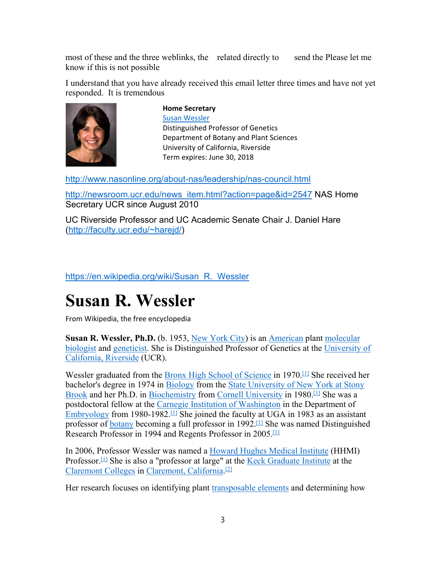most of these and the three weblinks, the related directly to send the Please let me know if this is not possible

I understand that you have already received this email letter three times and have not yet responded. It is tremendous



**Home Secretary** Susan Wessler Distinguished Professor of Genetics Department of Botany and Plant Sciences University of California, Riverside Term expires: June 30, 2018

http://www.nasonline.org/about-nas/leadership/nas-council.html

http://newsroom.ucr.edu/news\_item.html?action=page&id=2547 NAS Home Secretary UCR since August 2010

UC Riverside Professor and UC Academic Senate Chair J. Daniel Hare (http://faculty.ucr.edu/~harejd/)

https://en.wikipedia.org/wiki/Susan\_R.\_Wessler

## **Susan R. Wessler**

From Wikipedia, the free encyclopedia

**Susan R. Wessler, Ph.D.** (b. 1953, New York City) is an American plant molecular biologist and geneticist. She is Distinguished Professor of Genetics at the University of California, Riverside (UCR).

Wessler graduated from the Bronx High School of Science in 1970.<sup>[1]</sup> She received her bachelor's degree in 1974 in Biology from the State University of New York at Stony Brook and her Ph.D. in Biochemistry from Cornell University in 1980.<sup>[1]</sup> She was a postdoctoral fellow at the Carnegie Institution of Washington in the Department of Embryology from 1980-1982.<sup>[1]</sup> She joined the faculty at UGA in 1983 as an assistant professor of botany becoming a full professor in 1992.<sup>[1]</sup> She was named Distinguished Research Professor in 1994 and Regents Professor in 2005.<sup>[1]</sup>

In 2006, Professor Wessler was named a Howard Hughes Medical Institute (HHMI) Professor.<sup>[1]</sup> She is also a "professor at large" at the Keck Graduate Institute at the Claremont Colleges in Claremont, California.<sup>[2]</sup>

Her research focuses on identifying plant transposable elements and determining how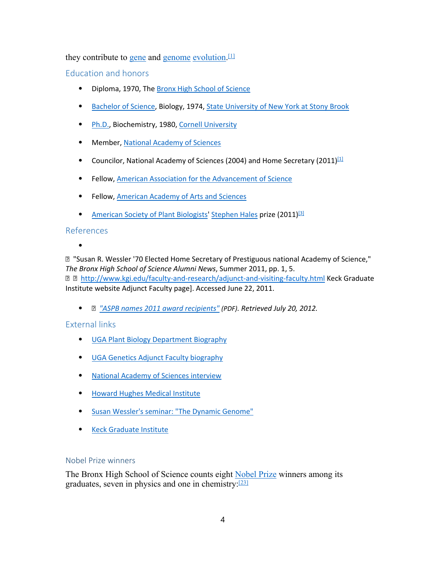they contribute to gene and genome evolution.<sup>[1]</sup>

Education and honors

- ⦁ Diploma, 1970, The Bronx High School of Science
- Bachelor of Science, Biology, 1974, State University of New York at Stony Brook
- ⦁ Ph.D., Biochemistry, 1980, Cornell University
- ⦁ Member, National Academy of Sciences
- Councilor, National Academy of Sciences (2004) and Home Secretary (2011)<sup>[1]</sup>
- ⦁ Fellow, American Association for the Advancement of Science
- ⦁ Fellow, American Academy of Arts and Sciences
- American Society of Plant Biologists' Stephen Hales prize (2011)<sup>[3]</sup>

#### References

⦁

 "Susan R. Wessler '70 Elected Home Secretary of Prestiguous national Academy of Science," *The Bronx High School of Science Alumni News*, Summer 2011, pp. 1, 5. **図 図 http://www.kgi.edu/faculty-and-research/adjunct-and-visiting-faculty.html Keck Graduate** Institute website Adjunct Faculty page]. Accessed June 22, 2011.

⦁ *"ASPB names 2011 award recipients" (PDF). Retrieved July 20, 2012.*

### External links

- ⦁ UGA Plant Biology Department Biography
- ⦁ UGA Genetics Adjunct Faculty biography
- ⦁ National Academy of Sciences interview
- ⦁ Howard Hughes Medical Institute
- ⦁ Susan Wessler's seminar: "The Dynamic Genome"
- ⦁ Keck Graduate Institute

#### Nobel Prize winners

The Bronx High School of Science counts eight Nobel Prize winners among its graduates, seven in physics and one in chemistry:<sup>[23]</sup>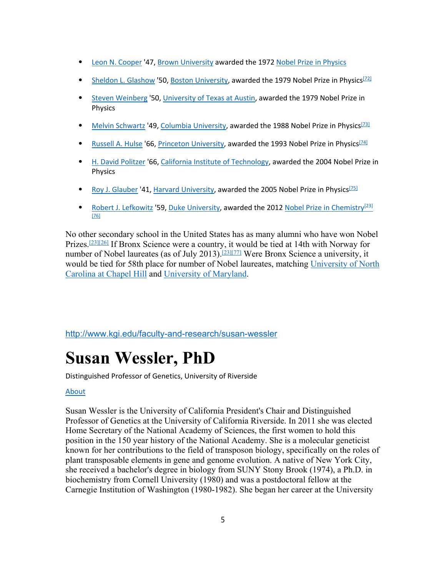- ⦁ Leon N. Cooper '47, Brown University awarded the 1972 Nobel Prize in Physics
- Sheldon L. Glashow '50, Boston University, awarded the 1979 Nobel Prize in Physics<sup>[72]</sup>
- ⦁ Steven Weinberg '50, University of Texas at Austin, awarded the 1979 Nobel Prize in Physics
- Melvin Schwartz '49, Columbia University, awarded the 1988 Nobel Prize in Physics<sup>[73]</sup>
- Russell A. Hulse '66, Princeton University, awarded the 1993 Nobel Prize in Physics<sup>[74]</sup>
- H. David Politzer '66, California Institute of Technology, awarded the 2004 Nobel Prize in Physics
- Roy J. Glauber '41, Harvard University, awarded the 2005 Nobel Prize in Physics<sup>[75]</sup>
- Robert J. Lefkowitz '59, Duke University, awarded the 2012 Nobel Prize in Chemistry<sup>[23]</sup> [76]

No other secondary school in the United States has as many alumni who have won Nobel Prizes.<sup>[23][26]</sup> If Bronx Science were a country, it would be tied at 14th with Norway for number of Nobel laureates (as of July 2013).<sup>[23][77]</sup> Were Bronx Science a university, it would be tied for 58th place for number of Nobel laureates, matching University of North Carolina at Chapel Hill and University of Maryland.

http://www.kgi.edu/faculty-and-research/susan-wessler

## **Susan Wessler, PhD**

Distinguished Professor of Genetics, University of Riverside

#### About

Susan Wessler is the University of California President's Chair and Distinguished Professor of Genetics at the University of California Riverside. In 2011 she was elected Home Secretary of the National Academy of Sciences, the first women to hold this position in the 150 year history of the National Academy. She is a molecular geneticist known for her contributions to the field of transposon biology, specifically on the roles of plant transposable elements in gene and genome evolution. A native of New York City, she received a bachelor's degree in biology from SUNY Stony Brook (1974), a Ph.D. in biochemistry from Cornell University (1980) and was a postdoctoral fellow at the Carnegie Institution of Washington (1980-1982). She began her career at the University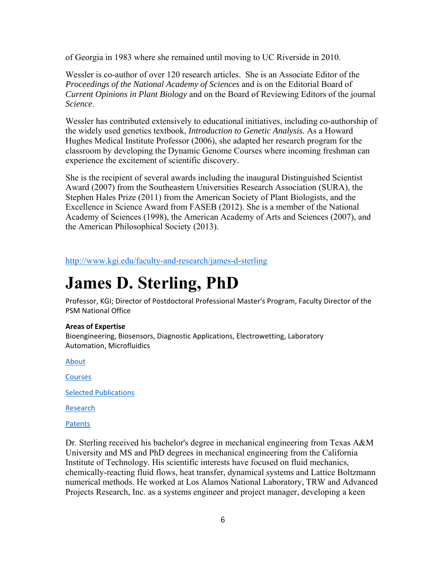of Georgia in 1983 where she remained until moving to UC Riverside in 2010.

Wessler is co-author of over 120 research articles. She is an Associate Editor of the *Proceedings of the National Academy of Sciences* and is on the Editorial Board of *Current Opinions in Plant Biology* and on the Board of Reviewing Editors of the journal *Science*.

Wessler has contributed extensively to educational initiatives, including co-authorship of the widely used genetics textbook, *Introduction to Genetic Analysis.* As a Howard Hughes Medical Institute Professor (2006), she adapted her research program for the classroom by developing the Dynamic Genome Courses where incoming freshman can experience the excitement of scientific discovery.

She is the recipient of several awards including the inaugural Distinguished Scientist Award (2007) from the Southeastern Universities Research Association (SURA), the Stephen Hales Prize (2011) from the American Society of Plant Biologists, and the Excellence in Science Award from FASEB (2012). She is a member of the National Academy of Sciences (1998), the American Academy of Arts and Sciences (2007), and the American Philosophical Society (2013).

#### http://www.kgi.edu/faculty-and-research/james-d-sterling

## **James D. Sterling, PhD**

Professor, KGI; Director of Postdoctoral Professional Master's Program, Faculty Director of the PSM National Office

#### **Areas of Expertise**

Bioengineering, Biosensors, Diagnostic Applications, Electrowetting, Laboratory Automation, Microfluidics

About

**Courses** 

Selected Publications

Research

#### **Patents**

Dr. Sterling received his bachelor's degree in mechanical engineering from Texas A&M University and MS and PhD degrees in mechanical engineering from the California Institute of Technology. His scientific interests have focused on fluid mechanics, chemically-reacting fluid flows, heat transfer, dynamical systems and Lattice Boltzmann numerical methods. He worked at Los Alamos National Laboratory, TRW and Advanced Projects Research, Inc. as a systems engineer and project manager, developing a keen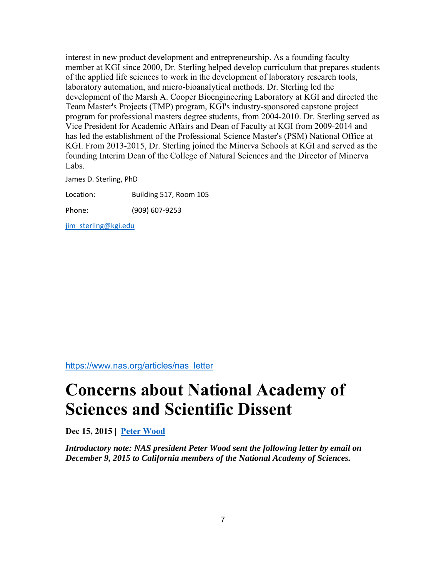interest in new product development and entrepreneurship. As a founding faculty member at KGI since 2000, Dr. Sterling helped develop curriculum that prepares students of the applied life sciences to work in the development of laboratory research tools, laboratory automation, and micro-bioanalytical methods. Dr. Sterling led the development of the Marsh A. Cooper Bioengineering Laboratory at KGI and directed the Team Master's Projects (TMP) program, KGI's industry-sponsored capstone project program for professional masters degree students, from 2004-2010. Dr. Sterling served as Vice President for Academic Affairs and Dean of Faculty at KGI from 2009-2014 and has led the establishment of the Professional Science Master's (PSM) National Office at KGI. From 2013-2015, Dr. Sterling joined the Minerva Schools at KGI and served as the founding Interim Dean of the College of Natural Sciences and the Director of Minerva Labs.

James D. Sterling, PhD

Location: Building 517, Room 105

Phone: (909) 607‐9253

jim\_sterling@kgi.edu

https://www.nas.org/articles/nas\_letter

## **Concerns about National Academy of Sciences and Scientific Dissent**

**Dec 15, 2015 | Peter Wood**

*Introductory note: NAS president Peter Wood sent the following letter by email on December 9, 2015 to California members of the National Academy of Sciences.*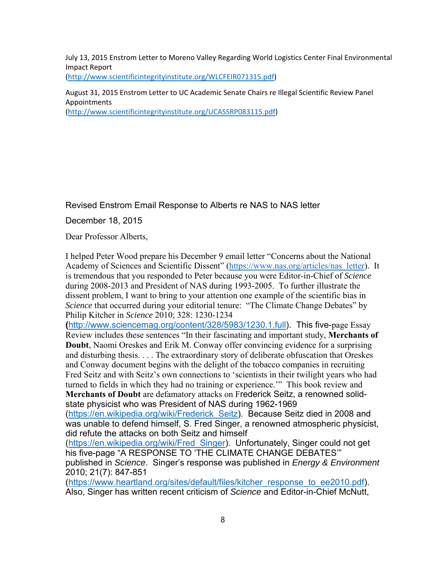July 13, 2015 Enstrom Letter to Moreno Valley Regarding World Logistics Center Final Environmental Impact Report

(http://www.scientificintegrityinstitute.org/WLCFEIR071315.pdf)

August 31, 2015 Enstrom Letter to UC Academic Senate Chairs re Illegal Scientific Review Panel Appointments

(http://www.scientificintegrityinstitute.org/UCASSRP083115.pdf)

Revised Enstrom Email Response to Alberts re NAS to NAS letter

December 18, 2015

Dear Professor Alberts,

I helped Peter Wood prepare his December 9 email letter "Concerns about the National Academy of Sciences and Scientific Dissent" (https://www.nas.org/articles/nas\_letter). It is tremendous that you responded to Peter because you were Editor-in-Chief of *Science* during 2008-2013 and President of NAS during 1993-2005. To further illustrate the dissent problem, I want to bring to your attention one example of the scientific bias in *Science* that occurred during your editorial tenure: "The Climate Change Debates" by Philip Kitcher in *Science* 2010; 328: 1230-1234

**(**http://www.sciencemag.org/content/328/5983/1230.1.full). This five-page Essay Review includes these sentences "In their fascinating and important study, **Merchants of Doubt**, Naomi Oreskes and Erik M. Conway offer convincing evidence for a surprising and disturbing thesis. . . . The extraordinary story of deliberate obfuscation that Oreskes and Conway document begins with the delight of the tobacco companies in recruiting Fred Seitz and with Seitz's own connections to 'scientists in their twilight years who had turned to fields in which they had no training or experience.'" This book review and **Merchants of Doubt** are defamatory attacks on Frederick Seitz, a renowned solidstate physicist who was President of NAS during 1962-1969

(https://en.wikipedia.org/wiki/Frederick\_Seitz). Because Seitz died in 2008 and was unable to defend himself, S. Fred Singer, a renowned atmospheric physicist, did refute the attacks on both Seitz and himself

(https://en.wikipedia.org/wiki/Fred\_Singer). Unfortunately, Singer could not get his five-page "A RESPONSE TO 'THE CLIMATE CHANGE DEBATES'" published in *Science*. Singer's response was published in *Energy & Environment* 2010; 21(7): 847-851

(https://www.heartland.org/sites/default/files/kitcher\_response\_to\_ee2010.pdf). Also, Singer has written recent criticism of *Science* and Editor-in-Chief McNutt,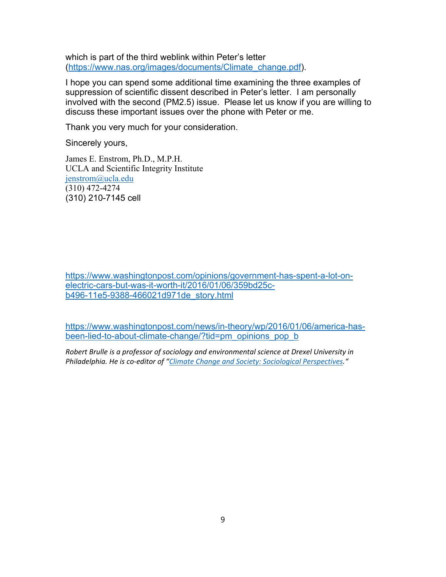which is part of the third weblink within Peter's letter (https://www.nas.org/images/documents/Climate\_change.pdf).

I hope you can spend some additional time examining the three examples of suppression of scientific dissent described in Peter's letter. I am personally involved with the second (PM2.5) issue. Please let us know if you are willing to discuss these important issues over the phone with Peter or me.

Thank you very much for your consideration.

Sincerely yours,

James E. Enstrom, Ph.D., M.P.H. UCLA and Scientific Integrity Institute jenstrom@ucla.edu (310) 472-4274 (310) 210-7145 cell

https://www.washingtonpost.com/opinions/government-has-spent-a-lot-onelectric-cars-but-was-it-worth-it/2016/01/06/359bd25cb496-11e5-9388-466021d971de\_story.html

https://www.washingtonpost.com/news/in-theory/wp/2016/01/06/america-hasbeen-lied-to-about-climate-change/?tid=pm\_opinions\_pop\_b

*Robert Brulle is a professor of sociology and environmental science at Drexel University in Philadelphia. He is co‐editor of "Climate Change and Society: Sociological Perspectives."*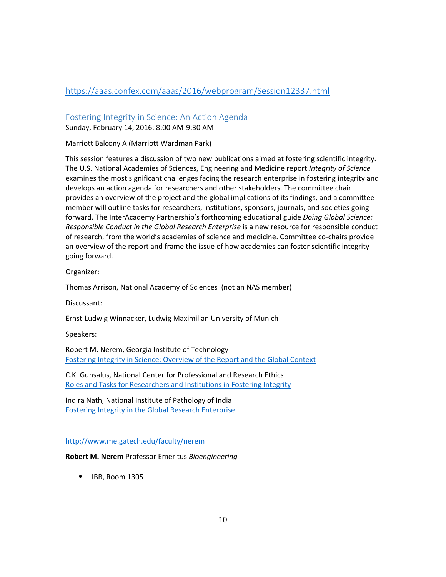### https://aaas.confex.com/aaas/2016/webprogram/Session12337.html

### Fostering Integrity in Science: An Action Agenda

Sunday, February 14, 2016: 8:00 AM‐9:30 AM

Marriott Balcony A (Marriott Wardman Park)

This session features a discussion of two new publications aimed at fostering scientific integrity. The U.S. National Academies of Sciences, Engineering and Medicine report *Integrity of Science* examines the most significant challenges facing the research enterprise in fostering integrity and develops an action agenda for researchers and other stakeholders. The committee chair provides an overview of the project and the global implications of its findings, and a committee member will outline tasks for researchers, institutions, sponsors, journals, and societies going forward. The InterAcademy Partnership's forthcoming educational guide *Doing Global Science: Responsible Conduct in the Global Research Enterprise* is a new resource for responsible conduct of research, from the world's academies of science and medicine. Committee co-chairs provide an overview of the report and frame the issue of how academies can foster scientific integrity going forward.

Organizer:

Thomas Arrison, National Academy of Sciences (not an NAS member)

Discussant:

Ernst‐Ludwig Winnacker, Ludwig Maximilian University of Munich

Speakers:

Robert M. Nerem, Georgia Institute of Technology Fostering Integrity in Science: Overview of the Report and the Global Context

C.K. Gunsalus, National Center for Professional and Research Ethics Roles and Tasks for Researchers and Institutions in Fostering Integrity

Indira Nath, National Institute of Pathology of India Fostering Integrity in the Global Research Enterprise

#### http://www.me.gatech.edu/faculty/nerem

#### **Robert M. Nerem** Professor Emeritus *Bioengineering*

⦁ IBB, Room 1305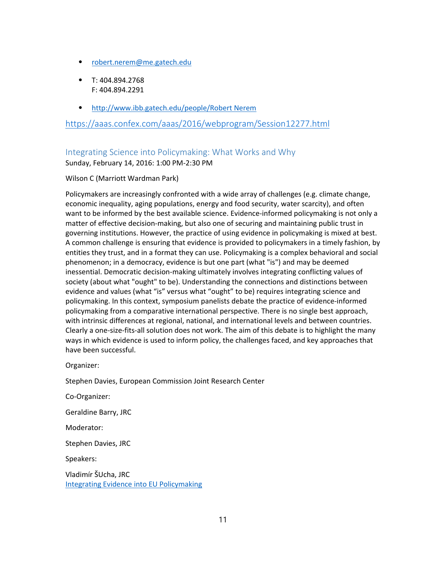- ⦁ robert.nerem@me.gatech.edu
- ⦁ T: 404.894.2768 F: 404.894.2291
- ⦁ http://www.ibb.gatech.edu/people/Robert Nerem

https://aaas.confex.com/aaas/2016/webprogram/Session12277.html

### Integrating Science into Policymaking: What Works and Why

Sunday, February 14, 2016: 1:00 PM‐2:30 PM

#### Wilson C (Marriott Wardman Park)

Policymakers are increasingly confronted with a wide array of challenges (e.g. climate change, economic inequality, aging populations, energy and food security, water scarcity), and often want to be informed by the best available science. Evidence-informed policymaking is not only a matter of effective decision-making, but also one of securing and maintaining public trust in governing institutions. However, the practice of using evidence in policymaking is mixed at best. A common challenge is ensuring that evidence is provided to policymakers in a timely fashion, by entities they trust, and in a format they can use. Policymaking is a complex behavioral and social phenomenon; in a democracy, evidence is but one part (what "is") and may be deemed inessential. Democratic decision‐making ultimately involves integrating conflicting values of society (about what "ought" to be). Understanding the connections and distinctions between evidence and values (what "is" versus what "ought" to be) requires integrating science and policymaking. In this context, symposium panelists debate the practice of evidence‐informed policymaking from a comparative international perspective. There is no single best approach, with intrinsic differences at regional, national, and international levels and between countries. Clearly a one‐size‐fits‐all solution does not work. The aim of this debate is to highlight the many ways in which evidence is used to inform policy, the challenges faced, and key approaches that have been successful.

Organizer:

Stephen Davies, European Commission Joint Research Center

Co‐Organizer:

Geraldine Barry, JRC

Moderator:

Stephen Davies, JRC

Speakers:

Vladimír ŠUcha, JRC Integrating Evidence into EU Policymaking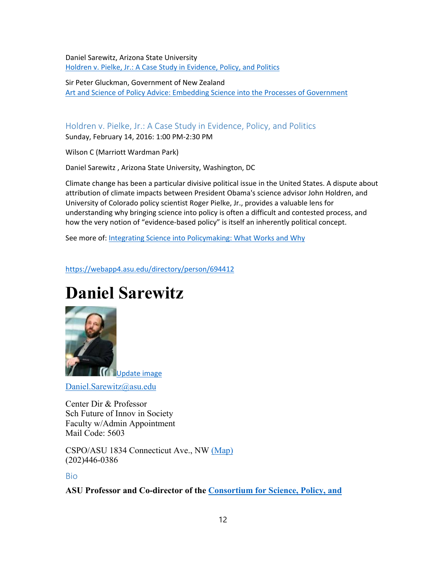Daniel Sarewitz, Arizona State University Holdren v. Pielke, Jr.: A Case Study in Evidence, Policy, and Politics

Sir Peter Gluckman, Government of New Zealand Art and Science of Policy Advice: Embedding Science into the Processes of Government

Holdren v. Pielke, Jr.: A Case Study in Evidence, Policy, and Politics

Sunday, February 14, 2016: 1:00 PM‐2:30 PM

Wilson C (Marriott Wardman Park)

Daniel Sarewitz , Arizona State University, Washington, DC

Climate change has been a particular divisive political issue in the United States. A dispute about attribution of climate impacts between President Obama's science advisor John Holdren, and University of Colorado policy scientist Roger Pielke, Jr., provides a valuable lens for understanding why bringing science into policy is often a difficult and contested process, and how the very notion of "evidence-based policy" is itself an inherently political concept.

See more of: Integrating Science into Policymaking: What Works and Why

https://webapp4.asu.edu/directory/person/694412

# **Daniel Sarewitz**



Daniel.Sarewitz@asu.edu

Center Dir & Professor Sch Future of Innov in Society Faculty w/Admin Appointment Mail Code: 5603

CSPO/ASU 1834 Connecticut Ave., NW (Map) (202)446-0386

Bio

**ASU Professor and Co-director of the Consortium for Science, Policy, and**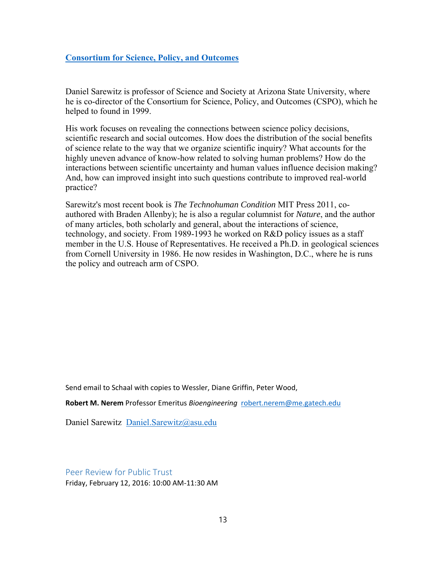#### **Consortium for Science, Policy, and Outcomes**

Daniel Sarewitz is professor of Science and Society at Arizona State University, where he is co-director of the Consortium for Science, Policy, and Outcomes (CSPO), which he helped to found in 1999.

His work focuses on revealing the connections between science policy decisions, scientific research and social outcomes. How does the distribution of the social benefits of science relate to the way that we organize scientific inquiry? What accounts for the highly uneven advance of know-how related to solving human problems? How do the interactions between scientific uncertainty and human values influence decision making? And, how can improved insight into such questions contribute to improved real-world practice?

Sarewitz's most recent book is *The Technohuman Condition* MIT Press 2011, coauthored with Braden Allenby); he is also a regular columnist for *Nature*, and the author of many articles, both scholarly and general, about the interactions of science, technology, and society. From 1989-1993 he worked on R&D policy issues as a staff member in the U.S. House of Representatives. He received a Ph.D. in geological sciences from Cornell University in 1986. He now resides in Washington, D.C., where he is runs the policy and outreach arm of CSPO.

Send email to Schaal with copies to Wessler, Diane Griffin, Peter Wood,

**Robert M. Nerem** Professor Emeritus *Bioengineering* robert.nerem@me.gatech.edu

Daniel Sarewitz Daniel.Sarewitz@asu.edu

Peer Review for Public Trust Friday, February 12, 2016: 10:00 AM‐11:30 AM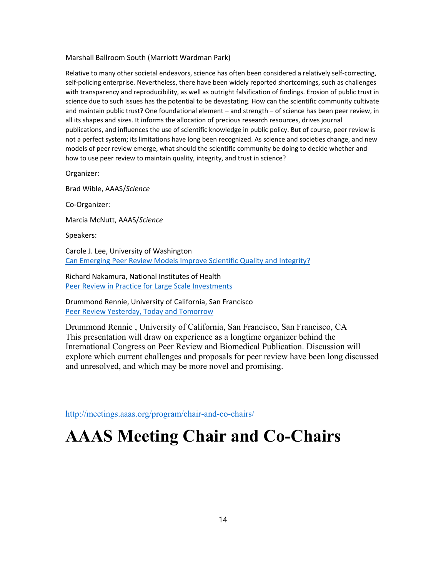#### Marshall Ballroom South (Marriott Wardman Park)

Relative to many other societal endeavors, science has often been considered a relatively self‐correcting, self‐policing enterprise. Nevertheless, there have been widely reported shortcomings, such as challenges with transparency and reproducibility, as well as outright falsification of findings. Erosion of public trust in science due to such issues has the potential to be devastating. How can the scientific community cultivate and maintain public trust? One foundational element – and strength – of science has been peer review, in all its shapes and sizes. It informs the allocation of precious research resources, drives journal publications, and influences the use of scientific knowledge in public policy. But of course, peer review is not a perfect system; its limitations have long been recognized. As science and societies change, and new models of peer review emerge, what should the scientific community be doing to decide whether and how to use peer review to maintain quality, integrity, and trust in science?

Organizer:

Brad Wible, AAAS/*Science*

Co‐Organizer:

Marcia McNutt, AAAS/*Science*

Speakers:

Carole J. Lee, University of Washington Can Emerging Peer Review Models Improve Scientific Quality and Integrity?

Richard Nakamura, National Institutes of Health Peer Review in Practice for Large Scale Investments

Drummond Rennie, University of California, San Francisco Peer Review Yesterday, Today and Tomorrow

Drummond Rennie , University of California, San Francisco, San Francisco, CA This presentation will draw on experience as a longtime organizer behind the International Congress on Peer Review and Biomedical Publication. Discussion will explore which current challenges and proposals for peer review have been long discussed and unresolved, and which may be more novel and promising.

http://meetings.aaas.org/program/chair-and-co-chairs/

## **AAAS Meeting Chair and Co-Chairs**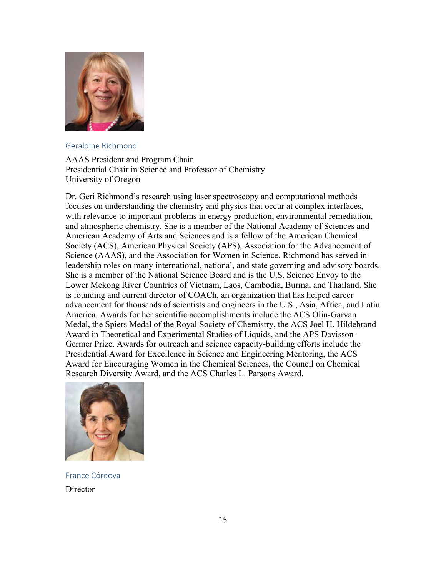

### Geraldine Richmond

AAAS President and Program Chair Presidential Chair in Science and Professor of Chemistry University of Oregon

Dr. Geri Richmond's research using laser spectroscopy and computational methods focuses on understanding the chemistry and physics that occur at complex interfaces, with relevance to important problems in energy production, environmental remediation, and atmospheric chemistry. She is a member of the National Academy of Sciences and American Academy of Arts and Sciences and is a fellow of the American Chemical Society (ACS), American Physical Society (APS), Association for the Advancement of Science (AAAS), and the Association for Women in Science. Richmond has served in leadership roles on many international, national, and state governing and advisory boards. She is a member of the National Science Board and is the U.S. Science Envoy to the Lower Mekong River Countries of Vietnam, Laos, Cambodia, Burma, and Thailand. She is founding and current director of COACh, an organization that has helped career advancement for thousands of scientists and engineers in the U.S., Asia, Africa, and Latin America. Awards for her scientific accomplishments include the ACS Olin-Garvan Medal, the Spiers Medal of the Royal Society of Chemistry, the ACS Joel H. Hildebrand Award in Theoretical and Experimental Studies of Liquids, and the APS Davisson-Germer Prize. Awards for outreach and science capacity-building efforts include the Presidential Award for Excellence in Science and Engineering Mentoring, the ACS Award for Encouraging Women in the Chemical Sciences, the Council on Chemical Research Diversity Award, and the ACS Charles L. Parsons Award.



France Córdova **Director**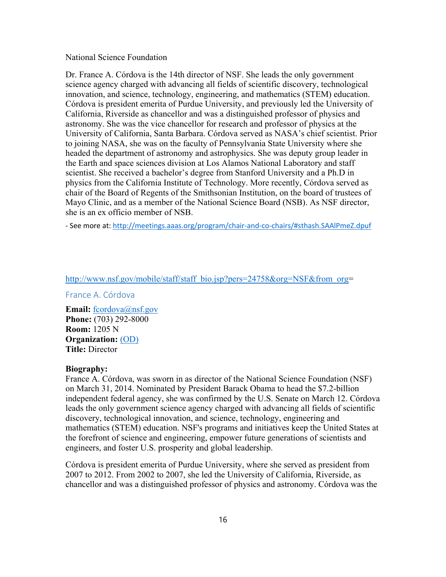National Science Foundation

Dr. France A. Córdova is the 14th director of NSF. She leads the only government science agency charged with advancing all fields of scientific discovery, technological innovation, and science, technology, engineering, and mathematics (STEM) education. Córdova is president emerita of Purdue University, and previously led the University of California, Riverside as chancellor and was a distinguished professor of physics and astronomy. She was the vice chancellor for research and professor of physics at the University of California, Santa Barbara. Córdova served as NASA's chief scientist. Prior to joining NASA, she was on the faculty of Pennsylvania State University where she headed the department of astronomy and astrophysics. She was deputy group leader in the Earth and space sciences division at Los Alamos National Laboratory and staff scientist. She received a bachelor's degree from Stanford University and a Ph.D in physics from the California Institute of Technology. More recently, Córdova served as chair of the Board of Regents of the Smithsonian Institution, on the board of trustees of Mayo Clinic, and as a member of the National Science Board (NSB). As NSF director, she is an ex officio member of NSB.

‐ See more at: http://meetings.aaas.org/program/chair‐and‐co‐chairs/#sthash.SAAlPmeZ.dpuf

#### http://www.nsf.gov/mobile/staff/staff\_bio.jsp?pers=24758&org=NSF&from\_org=

France A. Córdova

**Email:** fcordova@nsf.gov **Phone:** (703) 292-8000 **Room:** 1205 N **Organization:** (OD) **Title:** Director

#### **Biography:**

France A. Córdova, was sworn in as director of the National Science Foundation (NSF) on March 31, 2014. Nominated by President Barack Obama to head the \$7.2-billion independent federal agency, she was confirmed by the U.S. Senate on March 12. Córdova leads the only government science agency charged with advancing all fields of scientific discovery, technological innovation, and science, technology, engineering and mathematics (STEM) education. NSF's programs and initiatives keep the United States at the forefront of science and engineering, empower future generations of scientists and engineers, and foster U.S. prosperity and global leadership.

Córdova is president emerita of Purdue University, where she served as president from 2007 to 2012. From 2002 to 2007, she led the University of California, Riverside, as chancellor and was a distinguished professor of physics and astronomy. Córdova was the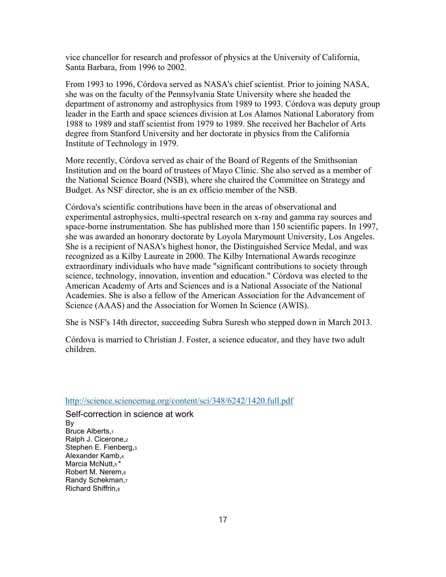vice chancellor for research and professor of physics at the University of California, Santa Barbara, from 1996 to 2002.

From 1993 to 1996, Córdova served as NASA's chief scientist. Prior to joining NASA, she was on the faculty of the Pennsylvania State University where she headed the department of astronomy and astrophysics from 1989 to 1993. Córdova was deputy group leader in the Earth and space sciences division at Los Alamos National Laboratory from 1988 to 1989 and staff scientist from 1979 to 1989. She received her Bachelor of Arts degree from Stanford University and her doctorate in physics from the California Institute of Technology in 1979.

More recently, Córdova served as chair of the Board of Regents of the Smithsonian Institution and on the board of trustees of Mayo Clinic. She also served as a member of the National Science Board (NSB), where she chaired the Committee on Strategy and Budget. As NSF director, she is an ex officio member of the NSB.

Córdova's scientific contributions have been in the areas of observational and experimental astrophysics, multi-spectral research on x-ray and gamma ray sources and space-borne instrumentation. She has published more than 150 scientific papers. In 1997, she was awarded an honorary doctorate by Loyola Marymount University, Los Angeles. She is a recipient of NASA's highest honor, the Distinguished Service Medal, and was recognized as a Kilby Laureate in 2000. The Kilby International Awards recoginze extraordinary individuals who have made "significant contributions to society through science, technology, innovation, invention and education." Córdova was elected to the American Academy of Arts and Sciences and is a National Associate of the National Academies. She is also a fellow of the American Association for the Advancement of Science (AAAS) and the Association for Women In Science (AWIS).

She is NSF's 14th director, succeeding Subra Suresh who stepped down in March 2013.

Córdova is married to Christian J. Foster, a science educator, and they have two adult children.

http://science.sciencemag.org/content/sci/348/6242/1420.full.pdf

Self-correction in science at work By Bruce Alberts,1 Ralph J. Cicerone,2 Stephen E. Fienberg,3 Alexander Kamb,4 Marcia McNutt,<sub>5</sub><sup>\*</sup> Robert M. Nerem,6 Randy Schekman,7 Richard Shiffrin,8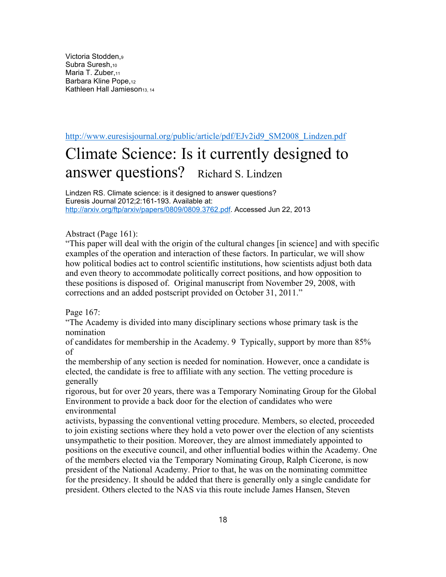http://www.euresisjournal.org/public/article/pdf/EJv2id9\_SM2008\_Lindzen.pdf

## Climate Science: Is it currently designed to answer questions? Richard S. Lindzen

Lindzen RS. Climate science: is it designed to answer questions? Euresis Journal 2012;2:161-193. Available at: http://arxiv.org/ftp/arxiv/papers/0809/0809.3762.pdf. Accessed Jun 22, 2013

Abstract (Page 161):

"This paper will deal with the origin of the cultural changes [in science] and with specific examples of the operation and interaction of these factors. In particular, we will show how political bodies act to control scientific institutions, how scientists adjust both data and even theory to accommodate politically correct positions, and how opposition to these positions is disposed of. Original manuscript from November 29, 2008, with corrections and an added postscript provided on October 31, 2011."

Page 167:

"The Academy is divided into many disciplinary sections whose primary task is the nomination

of candidates for membership in the Academy. 9 Typically, support by more than 85% of

the membership of any section is needed for nomination. However, once a candidate is elected, the candidate is free to affiliate with any section. The vetting procedure is generally

rigorous, but for over 20 years, there was a Temporary Nominating Group for the Global Environment to provide a back door for the election of candidates who were environmental

activists, bypassing the conventional vetting procedure. Members, so elected, proceeded to join existing sections where they hold a veto power over the election of any scientists unsympathetic to their position. Moreover, they are almost immediately appointed to positions on the executive council, and other influential bodies within the Academy. One of the members elected via the Temporary Nominating Group, Ralph Cicerone, is now president of the National Academy. Prior to that, he was on the nominating committee for the presidency. It should be added that there is generally only a single candidate for president. Others elected to the NAS via this route include James Hansen, Steven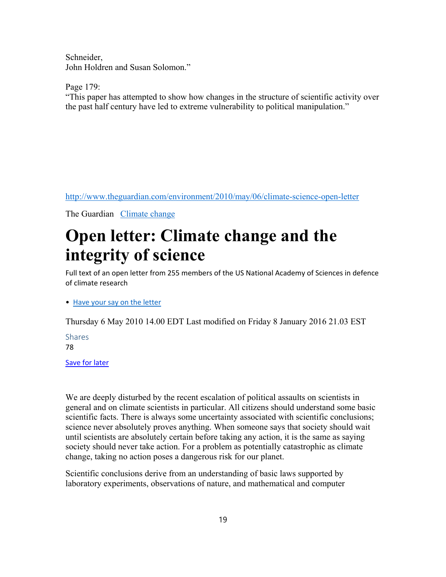Schneider, John Holdren and Susan Solomon."

Page 179:

"This paper has attempted to show how changes in the structure of scientific activity over the past half century have led to extreme vulnerability to political manipulation."

http://www.theguardian.com/environment/2010/may/06/climate-science-open-letter

The Guardian Climate change

# **Open letter: Climate change and the integrity of science**

Full text of an open letter from 255 members of the US National Academy of Sciences in defence of climate research

• Have your say on the letter

Thursday 6 May 2010 14.00 EDT Last modified on Friday 8 January 2016 21.03 EST

Shares 78

Save for later

We are deeply disturbed by the recent escalation of political assaults on scientists in general and on climate scientists in particular. All citizens should understand some basic scientific facts. There is always some uncertainty associated with scientific conclusions; science never absolutely proves anything. When someone says that society should wait until scientists are absolutely certain before taking any action, it is the same as saying society should never take action. For a problem as potentially catastrophic as climate change, taking no action poses a dangerous risk for our planet.

Scientific conclusions derive from an understanding of basic laws supported by laboratory experiments, observations of nature, and mathematical and computer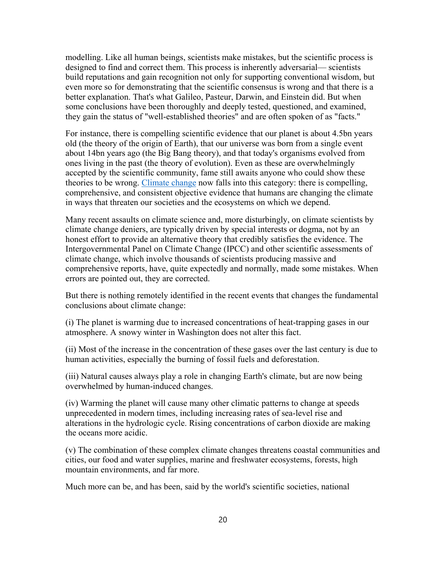modelling. Like all human beings, scientists make mistakes, but the scientific process is designed to find and correct them. This process is inherently adversarial— scientists build reputations and gain recognition not only for supporting conventional wisdom, but even more so for demonstrating that the scientific consensus is wrong and that there is a better explanation. That's what Galileo, Pasteur, Darwin, and Einstein did. But when some conclusions have been thoroughly and deeply tested, questioned, and examined, they gain the status of "well-established theories" and are often spoken of as "facts."

For instance, there is compelling scientific evidence that our planet is about 4.5bn years old (the theory of the origin of Earth), that our universe was born from a single event about 14bn years ago (the Big Bang theory), and that today's organisms evolved from ones living in the past (the theory of evolution). Even as these are overwhelmingly accepted by the scientific community, fame still awaits anyone who could show these theories to be wrong. Climate change now falls into this category: there is compelling, comprehensive, and consistent objective evidence that humans are changing the climate in ways that threaten our societies and the ecosystems on which we depend.

Many recent assaults on climate science and, more disturbingly, on climate scientists by climate change deniers, are typically driven by special interests or dogma, not by an honest effort to provide an alternative theory that credibly satisfies the evidence. The Intergovernmental Panel on Climate Change (IPCC) and other scientific assessments of climate change, which involve thousands of scientists producing massive and comprehensive reports, have, quite expectedly and normally, made some mistakes. When errors are pointed out, they are corrected.

But there is nothing remotely identified in the recent events that changes the fundamental conclusions about climate change:

(i) The planet is warming due to increased concentrations of heat-trapping gases in our atmosphere. A snowy winter in Washington does not alter this fact.

(ii) Most of the increase in the concentration of these gases over the last century is due to human activities, especially the burning of fossil fuels and deforestation.

(iii) Natural causes always play a role in changing Earth's climate, but are now being overwhelmed by human-induced changes.

(iv) Warming the planet will cause many other climatic patterns to change at speeds unprecedented in modern times, including increasing rates of sea-level rise and alterations in the hydrologic cycle. Rising concentrations of carbon dioxide are making the oceans more acidic.

(v) The combination of these complex climate changes threatens coastal communities and cities, our food and water supplies, marine and freshwater ecosystems, forests, high mountain environments, and far more.

Much more can be, and has been, said by the world's scientific societies, national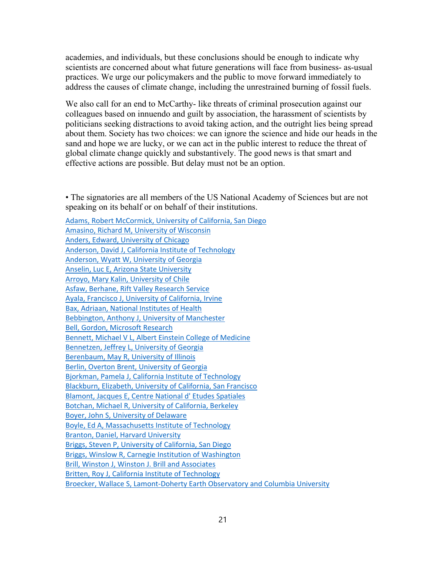academies, and individuals, but these conclusions should be enough to indicate why scientists are concerned about what future generations will face from business- as-usual practices. We urge our policymakers and the public to move forward immediately to address the causes of climate change, including the unrestrained burning of fossil fuels.

We also call for an end to McCarthy- like threats of criminal prosecution against our colleagues based on innuendo and guilt by association, the harassment of scientists by politicians seeking distractions to avoid taking action, and the outright lies being spread about them. Society has two choices: we can ignore the science and hide our heads in the sand and hope we are lucky, or we can act in the public interest to reduce the threat of global climate change quickly and substantively. The good news is that smart and effective actions are possible. But delay must not be an option.

• The signatories are all members of the US National Academy of Sciences but are not speaking on its behalf or on behalf of their institutions.

Adams, Robert McCormick, University of California, San Diego Amasino, Richard M, University of Wisconsin Anders, Edward, University of Chicago Anderson, David J, California Institute of Technology Anderson, Wyatt W, University of Georgia Anselin, Luc E, Arizona State University Arroyo, Mary Kalin, University of Chile Asfaw, Berhane, Rift Valley Research Service Ayala, Francisco J, University of California, Irvine Bax, Adriaan, National Institutes of Health Bebbington, Anthony J, University of Manchester Bell, Gordon, Microsoft Research Bennett, Michael V L, Albert Einstein College of Medicine Bennetzen, Jeffrey L, University of Georgia Berenbaum, May R, University of Illinois Berlin, Overton Brent, University of Georgia Bjorkman, Pamela J, California Institute of Technology Blackburn, Elizabeth, University of California, San Francisco Blamont, Jacques E, Centre National d' Etudes Spatiales Botchan, Michael R, University of California, Berkeley Boyer, John S, University of Delaware Boyle, Ed A, Massachusetts Institute of Technology Branton, Daniel, Harvard University Briggs, Steven P, University of California, San Diego Briggs, Winslow R, Carnegie Institution of Washington Brill, Winston J, Winston J. Brill and Associates Britten, Roy J, California Institute of Technology Broecker, Wallace S, Lamont‐Doherty Earth Observatory and Columbia University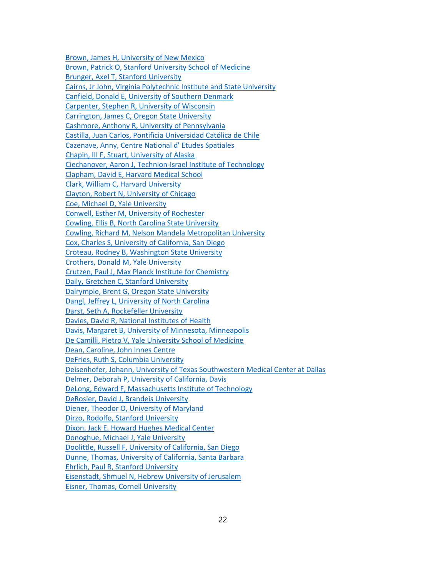Brown, James H, University of New Mexico Brown, Patrick O, Stanford University School of Medicine Brunger, Axel T, Stanford University Cairns, Jr John, Virginia Polytechnic Institute and State University Canfield, Donald E, University of Southern Denmark Carpenter, Stephen R, University of Wisconsin Carrington, James C, Oregon State University Cashmore, Anthony R, University of Pennsylvania Castilla, Juan Carlos, Pontificia Universidad Católica de Chile Cazenave, Anny, Centre National d' Etudes Spatiales Chapin, III F, Stuart, University of Alaska Ciechanover, Aaron J, Technion‐Israel Institute of Technology Clapham, David E, Harvard Medical School Clark, William C, Harvard University Clayton, Robert N, University of Chicago Coe, Michael D, Yale University Conwell, Esther M, University of Rochester Cowling, Ellis B, North Carolina State University Cowling, Richard M, Nelson Mandela Metropolitan University Cox, Charles S, University of California, San Diego Croteau, Rodney B, Washington State University Crothers, Donald M, Yale University Crutzen, Paul J, Max Planck Institute for Chemistry Daily, Gretchen C, Stanford University Dalrymple, Brent G, Oregon State University Dangl, Jeffrey L, University of North Carolina Darst, Seth A, Rockefeller University Davies, David R, National Institutes of Health Davis, Margaret B, University of Minnesota, Minneapolis De Camilli, Pietro V, Yale University School of Medicine Dean, Caroline, John Innes Centre DeFries, Ruth S, Columbia University Deisenhofer, Johann, University of Texas Southwestern Medical Center at Dallas Delmer, Deborah P, University of California, Davis DeLong, Edward F, Massachusetts Institute of Technology DeRosier, David J, Brandeis University Diener, Theodor O, University of Maryland Dirzo, Rodolfo, Stanford University Dixon, Jack E, Howard Hughes Medical Center Donoghue, Michael J, Yale University Doolittle, Russell F, University of California, San Diego Dunne, Thomas, University of California, Santa Barbara Ehrlich, Paul R, Stanford University Eisenstadt, Shmuel N, Hebrew University of Jerusalem Eisner, Thomas, Cornell University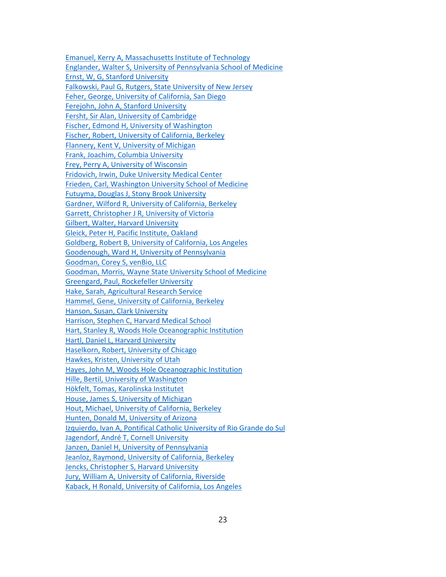Emanuel, Kerry A, Massachusetts Institute of Technology Englander, Walter S, University of Pennsylvania School of Medicine Ernst, W, G, Stanford University Falkowski, Paul G, Rutgers, State University of New Jersey Feher, George, University of California, San Diego Ferejohn, John A, Stanford University Fersht, Sir Alan, University of Cambridge Fischer, Edmond H, University of Washington Fischer, Robert, University of California, Berkeley Flannery, Kent V, University of Michigan Frank, Joachim, Columbia University Frey, Perry A, University of Wisconsin Fridovich, Irwin, Duke University Medical Center Frieden, Carl, Washington University School of Medicine Futuyma, Douglas J, Stony Brook University Gardner, Wilford R, University of California, Berkeley Garrett, Christopher J R, University of Victoria Gilbert, Walter, Harvard University Gleick, Peter H, Pacific Institute, Oakland Goldberg, Robert B, University of California, Los Angeles Goodenough, Ward H, University of Pennsylvania Goodman, Corey S, venBio, LLC Goodman, Morris, Wayne State University School of Medicine Greengard, Paul, Rockefeller University Hake, Sarah, Agricultural Research Service Hammel, Gene, University of California, Berkeley Hanson, Susan, Clark University Harrison, Stephen C, Harvard Medical School Hart, Stanley R, Woods Hole Oceanographic Institution Hartl, Daniel L, Harvard University Haselkorn, Robert, University of Chicago Hawkes, Kristen, University of Utah Hayes, John M, Woods Hole Oceanographic Institution Hille, Bertil, University of Washington Hökfelt, Tomas, Karolinska Institutet House, James S, University of Michigan Hout, Michael, University of California, Berkeley Hunten, Donald M, University of Arizona Izquierdo, Ivan A, Pontifical Catholic University of Rio Grande do Sul Jagendorf, André T, Cornell University Janzen, Daniel H, University of Pennsylvania Jeanloz, Raymond, University of California, Berkeley Jencks, Christopher S, Harvard University Jury, William A, University of California, Riverside Kaback, H Ronald, University of California, Los Angeles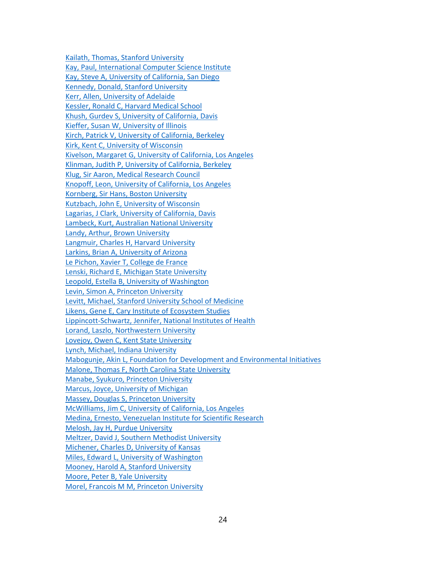Kailath, Thomas, Stanford University Kay, Paul, International Computer Science Institute Kay, Steve A, University of California, San Diego Kennedy, Donald, Stanford University Kerr, Allen, University of Adelaide Kessler, Ronald C, Harvard Medical School Khush, Gurdev S, University of California, Davis Kieffer, Susan W, University of Illinois Kirch, Patrick V, University of California, Berkeley Kirk, Kent C, University of Wisconsin Kivelson, Margaret G, University of California, Los Angeles Klinman, Judith P, University of California, Berkeley Klug, Sir Aaron, Medical Research Council Knopoff, Leon, University of California, Los Angeles Kornberg, Sir Hans, Boston University Kutzbach, John E, University of Wisconsin Lagarias, J Clark, University of California, Davis Lambeck, Kurt, Australian National University Landy, Arthur, Brown University Langmuir, Charles H, Harvard University Larkins, Brian A, University of Arizona Le Pichon, Xavier T, College de France Lenski, Richard E, Michigan State University Leopold, Estella B, University of Washington Levin, Simon A, Princeton University Levitt, Michael, Stanford University School of Medicine Likens, Gene E, Cary Institute of Ecosystem Studies Lippincott‐Schwartz, Jennifer, National Institutes of Health Lorand, Laszlo, Northwestern University Lovejoy, Owen C, Kent State University Lynch, Michael, Indiana University Mabogunje, Akin L, Foundation for Development and Environmental Initiatives Malone, Thomas F, North Carolina State University Manabe, Syukuro, Princeton University Marcus, Joyce, University of Michigan Massey, Douglas S, Princeton University McWilliams, Jim C, University of California, Los Angeles Medina, Ernesto, Venezuelan Institute for Scientific Research Melosh, Jay H, Purdue University Meltzer, David J, Southern Methodist University Michener, Charles D, University of Kansas Miles, Edward L, University of Washington Mooney, Harold A, Stanford University Moore, Peter B, Yale University Morel, Francois M M, Princeton University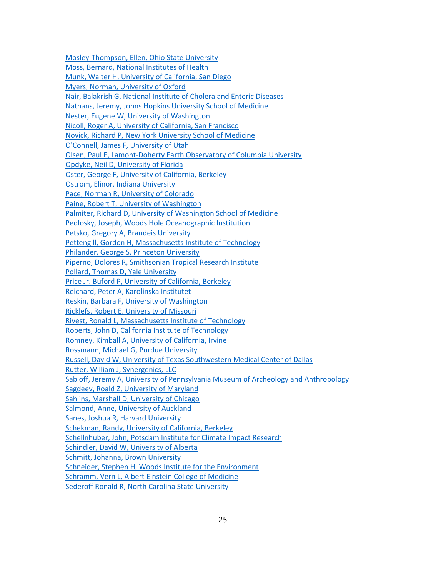Mosley‐Thompson, Ellen, Ohio State University Moss, Bernard, National Institutes of Health Munk, Walter H, University of California, San Diego Myers, Norman, University of Oxford Nair, Balakrish G, National Institute of Cholera and Enteric Diseases Nathans, Jeremy, Johns Hopkins University School of Medicine Nester, Eugene W, University of Washington Nicoll, Roger A, University of California, San Francisco Novick, Richard P, New York University School of Medicine O'Connell, James F, University of Utah Olsen, Paul E, Lamont‐Doherty Earth Observatory of Columbia University Opdyke, Neil D, University of Florida Oster, George F, University of California, Berkeley Ostrom, Elinor, Indiana University Pace, Norman R, University of Colorado Paine, Robert T, University of Washington Palmiter, Richard D, University of Washington School of Medicine Pedlosky, Joseph, Woods Hole Oceanographic Institution Petsko, Gregory A, Brandeis University Pettengill, Gordon H, Massachusetts Institute of Technology Philander, George S, Princeton University Piperno, Dolores R, Smithsonian Tropical Research Institute Pollard, Thomas D, Yale University Price Jr. Buford P, University of California, Berkeley Reichard, Peter A, Karolinska Institutet Reskin, Barbara F, University of Washington Ricklefs, Robert E, University of Missouri Rivest, Ronald L, Massachusetts Institute of Technology Roberts, John D, California Institute of Technology Romney, Kimball A, University of California, Irvine Rossmann, Michael G, Purdue University Russell, David W, University of Texas Southwestern Medical Center of Dallas Rutter, William J, Synergenics, LLC Sabloff, Jeremy A, University of Pennsylvania Museum of Archeology and Anthropology Sagdeev, Roald Z, University of Maryland Sahlins, Marshall D, University of Chicago Salmond, Anne, University of Auckland Sanes, Joshua R, Harvard University Schekman, Randy, University of California, Berkeley Schellnhuber, John, Potsdam Institute for Climate Impact Research Schindler, David W, University of Alberta Schmitt, Johanna, Brown University Schneider, Stephen H, Woods Institute for the Environment Schramm, Vern L, Albert Einstein College of Medicine Sederoff Ronald R, North Carolina State University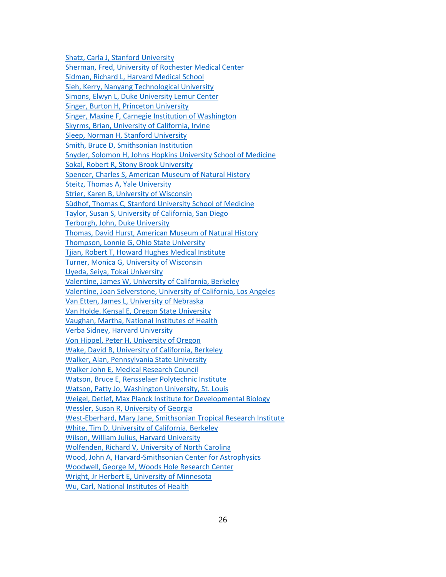Shatz, Carla J, Stanford University Sherman, Fred, University of Rochester Medical Center Sidman, Richard L, Harvard Medical School Sieh, Kerry, Nanyang Technological University Simons, Elwyn L, Duke University Lemur Center Singer, Burton H, Princeton University Singer, Maxine F, Carnegie Institution of Washington Skyrms, Brian, University of California, Irvine Sleep, Norman H, Stanford University Smith, Bruce D, Smithsonian Institution Snyder, Solomon H, Johns Hopkins University School of Medicine Sokal, Robert R, Stony Brook University Spencer, Charles S, American Museum of Natural History Steitz, Thomas A, Yale University Strier, Karen B, University of Wisconsin Südhof, Thomas C, Stanford University School of Medicine Taylor, Susan S, University of California, San Diego Terborgh, John, Duke University Thomas, David Hurst, American Museum of Natural History Thompson, Lonnie G, Ohio State University Tjian, Robert T, Howard Hughes Medical Institute Turner, Monica G, University of Wisconsin Uyeda, Seiya, Tokai University Valentine, James W, University of California, Berkeley Valentine, Joan Selverstone, University of California, Los Angeles Van Etten, James L, University of Nebraska Van Holde, Kensal E, Oregon State University Vaughan, Martha, National Institutes of Health Verba Sidney, Harvard University Von Hippel, Peter H, University of Oregon Wake, David B, University of California, Berkeley Walker, Alan, Pennsylvania State University Walker John E, Medical Research Council Watson, Bruce E, Rensselaer Polytechnic Institute Watson, Patty Jo, Washington University, St. Louis Weigel, Detlef, Max Planck Institute for Developmental Biology Wessler, Susan R, University of Georgia West‐Eberhard, Mary Jane, Smithsonian Tropical Research Institute White, Tim D, University of California, Berkeley Wilson, William Julius, Harvard University Wolfenden, Richard V, University of North Carolina Wood, John A, Harvard‐Smithsonian Center for Astrophysics Woodwell, George M, Woods Hole Research Center Wright, Jr Herbert E, University of Minnesota Wu, Carl, National Institutes of Health